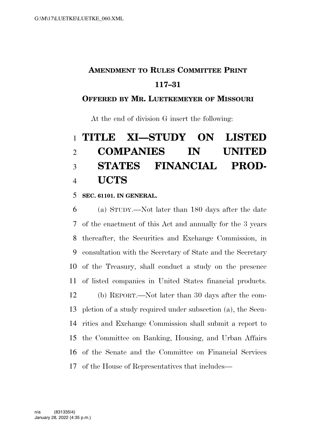### **AMENDMENT TO RULES COMMITTEE PRINT 117–31**

### **OFFERED BY MR. LUETKEMEYER OF MISSOURI**

At the end of division G insert the following:

# **TITLE XI—STUDY ON LISTED COMPANIES IN UNITED STATES FINANCIAL PROD-UCTS**

#### **SEC. 61101. IN GENERAL.**

 (a) STUDY.—Not later than 180 days after the date of the enactment of this Act and annually for the 3 years thereafter, the Securities and Exchange Commission, in consultation with the Secretary of State and the Secretary of the Treasury, shall conduct a study on the presence of listed companies in United States financial products. (b) REPORT.—Not later than 30 days after the com- pletion of a study required under subsection (a), the Secu- rities and Exchange Commission shall submit a report to the Committee on Banking, Housing, and Urban Affairs of the Senate and the Committee on Financial Services of the House of Representatives that includes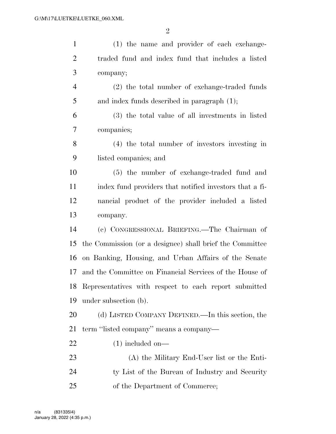| $\mathbf{1}$   | (1) the name and provider of each exchange-              |
|----------------|----------------------------------------------------------|
| $\overline{2}$ | traded fund and index fund that includes a listed        |
| 3              | company;                                                 |
| 4              | (2) the total number of exchange-traded funds            |
| 5              | and index funds described in paragraph $(1)$ ;           |
| 6              | (3) the total value of all investments in listed         |
| 7              | companies;                                               |
| 8              | (4) the total number of investors investing in           |
| 9              | listed companies; and                                    |
| 10             | (5) the number of exchange-traded fund and               |
| 11             | index fund providers that notified investors that a fi-  |
| 12             | nancial product of the provider included a listed        |
| 13             | company.                                                 |
| 14             | (c) CONGRESSIONAL BRIEFING.—The Chairman of              |
| 15             | the Commission (or a designee) shall brief the Committee |
| 16             | on Banking, Housing, and Urban Affairs of the Senate     |
| 17             | and the Committee on Financial Services of the House of  |
| 18             | Representatives with respect to each report submitted    |
| 19             | under subsection (b).                                    |
| 20             | (d) LISTED COMPANY DEFINED.—In this section, the         |
| 21             | term "listed company" means a company—                   |
| 22             | $(1)$ included on—                                       |
| 23             | (A) the Military End-User list or the Enti-              |
| 24             | ty List of the Bureau of Industry and Security           |
| 25             | of the Department of Commerce;                           |